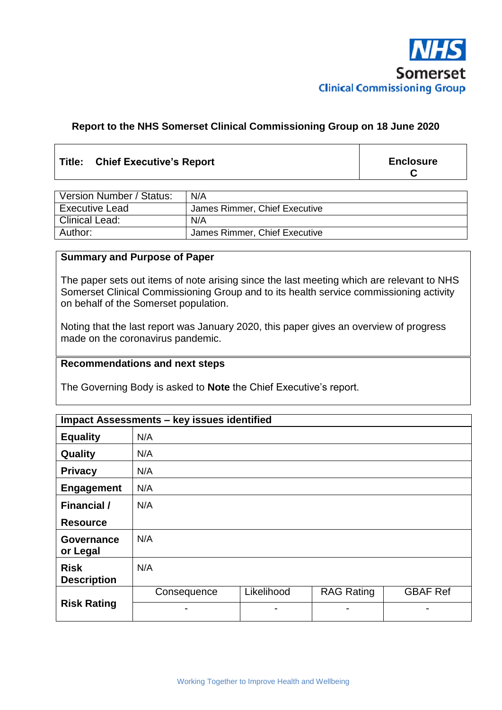

## **Report to the NHS Somerset Clinical Commissioning Group on 18 June 2020**

## **Title: Chief Executive's Report**

**Enclosure C**

| Version Number / Status: | N/A                           |
|--------------------------|-------------------------------|
| <b>Executive Lead</b>    | James Rimmer, Chief Executive |
| <b>Clinical Lead:</b>    | N/A                           |
| Author:                  | James Rimmer, Chief Executive |

### **Summary and Purpose of Paper**

The paper sets out items of note arising since the last meeting which are relevant to NHS Somerset Clinical Commissioning Group and to its health service commissioning activity on behalf of the Somerset population.

Noting that the last report was January 2020, this paper gives an overview of progress made on the coronavirus pandemic.

#### **Recommendations and next steps**

The Governing Body is asked to **Note** the Chief Executive's report.

| <b>Impact Assessments - key issues identified</b> |             |            |                   |                 |  |
|---------------------------------------------------|-------------|------------|-------------------|-----------------|--|
| <b>Equality</b>                                   | N/A         |            |                   |                 |  |
| Quality                                           | N/A         |            |                   |                 |  |
| <b>Privacy</b>                                    | N/A         |            |                   |                 |  |
| <b>Engagement</b>                                 | N/A         |            |                   |                 |  |
| <b>Financial</b> /                                | N/A         |            |                   |                 |  |
| <b>Resource</b>                                   |             |            |                   |                 |  |
| <b>Governance</b><br>or Legal                     | N/A         |            |                   |                 |  |
| <b>Risk</b><br><b>Description</b>                 | N/A         |            |                   |                 |  |
| <b>Risk Rating</b>                                | Consequence | Likelihood | <b>RAG Rating</b> | <b>GBAF Ref</b> |  |
|                                                   | -           | -          | $\blacksquare$    |                 |  |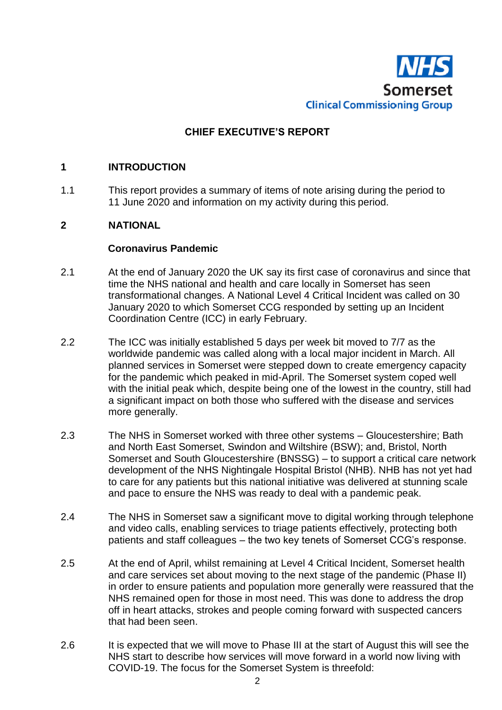

## **CHIEF EXECUTIVE'S REPORT**

## **1 INTRODUCTION**

1.1 This report provides a summary of items of note arising during the period to 11 June 2020 and information on my activity during this period.

## **2 NATIONAL**

#### **Coronavirus Pandemic**

- 2.1 At the end of January 2020 the UK say its first case of coronavirus and since that time the NHS national and health and care locally in Somerset has seen transformational changes. A National Level 4 Critical Incident was called on 30 January 2020 to which Somerset CCG responded by setting up an Incident Coordination Centre (ICC) in early February.
- 2.2 The ICC was initially established 5 days per week bit moved to 7/7 as the worldwide pandemic was called along with a local major incident in March. All planned services in Somerset were stepped down to create emergency capacity for the pandemic which peaked in mid-April. The Somerset system coped well with the initial peak which, despite being one of the lowest in the country, still had a significant impact on both those who suffered with the disease and services more generally.
- 2.3 The NHS in Somerset worked with three other systems Gloucestershire; Bath and North East Somerset, Swindon and Wiltshire (BSW); and, Bristol, North Somerset and South Gloucestershire (BNSSG) – to support a critical care network development of the NHS Nightingale Hospital Bristol (NHB). NHB has not yet had to care for any patients but this national initiative was delivered at stunning scale and pace to ensure the NHS was ready to deal with a pandemic peak.
- 2.4 The NHS in Somerset saw a significant move to digital working through telephone and video calls, enabling services to triage patients effectively, protecting both patients and staff colleagues – the two key tenets of Somerset CCG's response.
- 2.5 At the end of April, whilst remaining at Level 4 Critical Incident, Somerset health and care services set about moving to the next stage of the pandemic (Phase II) in order to ensure patients and population more generally were reassured that the NHS remained open for those in most need. This was done to address the drop off in heart attacks, strokes and people coming forward with suspected cancers that had been seen.
- 2.6 It is expected that we will move to Phase III at the start of August this will see the NHS start to describe how services will move forward in a world now living with COVID-19. The focus for the Somerset System is threefold: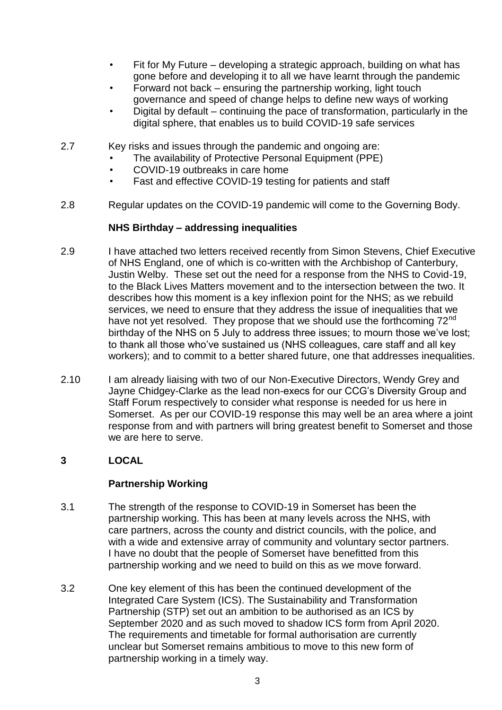- Fit for My Future developing a strategic approach, building on what has gone before and developing it to all we have learnt through the pandemic
- Forward not back ensuring the partnership working, light touch governance and speed of change helps to define new ways of working
- Digital by default continuing the pace of transformation, particularly in the digital sphere, that enables us to build COVID-19 safe services
- 2.7 Key risks and issues through the pandemic and ongoing are:
	- The availability of Protective Personal Equipment (PPE)
	- COVID-19 outbreaks in care home
	- Fast and effective COVID-19 testing for patients and staff
- 2.8 Regular updates on the COVID-19 pandemic will come to the Governing Body.

## **NHS Birthday – addressing inequalities**

- 2.9 I have attached two letters received recently from Simon Stevens, Chief Executive of NHS England, one of which is co-written with the Archbishop of Canterbury, Justin Welby. These set out the need for a response from the NHS to Covid-19, to the Black Lives Matters movement and to the intersection between the two. It describes how this moment is a key inflexion point for the NHS; as we rebuild services, we need to ensure that they address the issue of inequalities that we have not yet resolved. They propose that we should use the forthcoming  $72<sup>nd</sup>$ birthday of the NHS on 5 July to address three issues; to mourn those we've lost; to thank all those who've sustained us (NHS colleagues, care staff and all key workers); and to commit to a better shared future, one that addresses inequalities.
- 2.10 I am already liaising with two of our Non-Executive Directors, Wendy Grey and Jayne Chidgey-Clarke as the lead non-execs for our CCG's Diversity Group and Staff Forum respectively to consider what response is needed for us here in Somerset. As per our COVID-19 response this may well be an area where a joint response from and with partners will bring greatest benefit to Somerset and those we are here to serve.

# **3 LOCAL**

## **Partnership Working**

- 3.1 The strength of the response to COVID-19 in Somerset has been the partnership working. This has been at many levels across the NHS, with care partners, across the county and district councils, with the police, and with a wide and extensive array of community and voluntary sector partners. I have no doubt that the people of Somerset have benefitted from this partnership working and we need to build on this as we move forward.
- 3.2 One key element of this has been the continued development of the Integrated Care System (ICS). The Sustainability and Transformation Partnership (STP) set out an ambition to be authorised as an ICS by September 2020 and as such moved to shadow ICS form from April 2020. The requirements and timetable for formal authorisation are currently unclear but Somerset remains ambitious to move to this new form of partnership working in a timely way.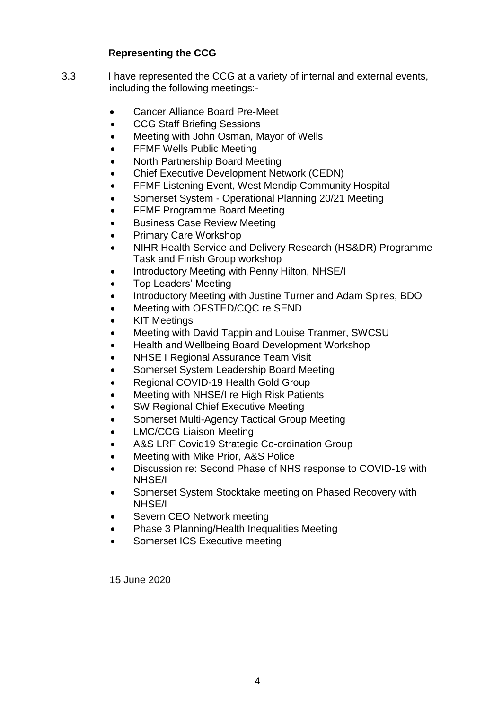# **Representing the CCG**

- 3.3 I have represented the CCG at a variety of internal and external events, including the following meetings:-
	- Cancer Alliance Board Pre-Meet
	- CCG Staff Briefing Sessions
	- Meeting with John Osman, Mayor of Wells
	- FFMF Wells Public Meeting
	- North Partnership Board Meeting
	- Chief Executive Development Network (CEDN)
	- FFMF Listening Event, West Mendip Community Hospital
	- Somerset System Operational Planning 20/21 Meeting
	- FFMF Programme Board Meeting
	- Business Case Review Meeting
	- Primary Care Workshop
	- NIHR Health Service and Delivery Research (HS&DR) Programme Task and Finish Group workshop
	- Introductory Meeting with Penny Hilton, NHSE/I
	- Top Leaders' Meeting
	- Introductory Meeting with Justine Turner and Adam Spires, BDO
	- Meeting with OFSTED/CQC re SEND
	- KIT Meetings
	- Meeting with David Tappin and Louise Tranmer, SWCSU
	- Health and Wellbeing Board Development Workshop
	- NHSE I Regional Assurance Team Visit
	- Somerset System Leadership Board Meeting
	- Regional COVID-19 Health Gold Group
	- Meeting with NHSE/I re High Risk Patients
	- SW Regional Chief Executive Meeting
	- Somerset Multi-Agency Tactical Group Meeting
	- LMC/CCG Liaison Meeting
	- A&S LRF Covid19 Strategic Co-ordination Group
	- Meeting with Mike Prior, A&S Police
	- Discussion re: Second Phase of NHS response to COVID-19 with NHSE/I
	- Somerset System Stocktake meeting on Phased Recovery with NHSE/I
	- Severn CEO Network meeting
	- Phase 3 Planning/Health Inequalities Meeting
	- Somerset ICS Executive meeting

15 June 2020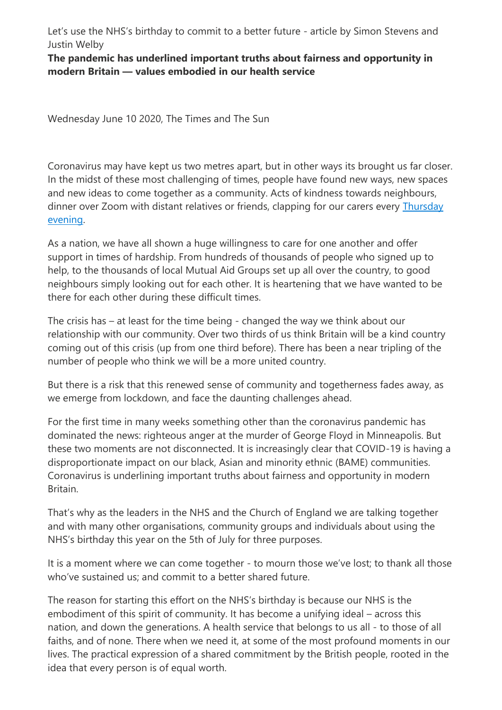Let's use the NHS's birthday to commit to a better future - article by Simon Stevens and Justin Welby

**The pandemic has underlined important truths about fairness and opportunity in modern Britain — values embodied in our health service**

Wednesday June 10 2020, The Times and The Sun

Coronavirus may have kept us two metres apart, but in other ways its brought us far closer. In the midst of these most challenging of times, people have found new ways, new spaces and new ideas to come together as a community. Acts of kindness towards neighbours, dinner over Zoom with distant relatives or friends, clapping for our carers every Thursday [evening.](https://www.thetimes.co.uk/article/clapping-for-the-nhs-is-starting-to-disguise-deeper-problems-t5kgd3zkz)

As a nation, we have all shown a huge willingness to care for one another and offer support in times of hardship. From hundreds of thousands of people who signed up to help, to the thousands of local Mutual Aid Groups set up all over the country, to good neighbours simply looking out for each other. It is heartening that we have wanted to be there for each other during these difficult times.

The crisis has – at least for the time being - changed the way we think about our relationship with our community. Over two thirds of us think Britain will be a kind country coming out of this crisis (up from one third before). There has been a near tripling of the number of people who think we will be a more united country.

But there is a risk that this renewed sense of community and togetherness fades away, as we emerge from lockdown, and face the daunting challenges ahead.

For the first time in many weeks something other than the coronavirus pandemic has dominated the news: righteous anger at the murder of George Floyd in Minneapolis. But these two moments are not disconnected. It is increasingly clear that COVID-19 is having a disproportionate impact on our black, Asian and minority ethnic (BAME) communities. Coronavirus is underlining important truths about fairness and opportunity in modern Britain.

That's why as the leaders in the NHS and the Church of England we are talking together and with many other organisations, community groups and individuals about using the NHS's birthday this year on the 5th of July for three purposes.

It is a moment where we can come together - to mourn those we've lost; to thank all those who've sustained us; and commit to a better shared future.

The reason for starting this effort on the NHS's birthday is because our NHS is the embodiment of this spirit of community. It has become a unifying ideal – across this nation, and down the generations. A health service that belongs to us all - to those of all faiths, and of none. There when we need it, at some of the most profound moments in our lives. The practical expression of a shared commitment by the British people, rooted in the idea that every person is of equal worth.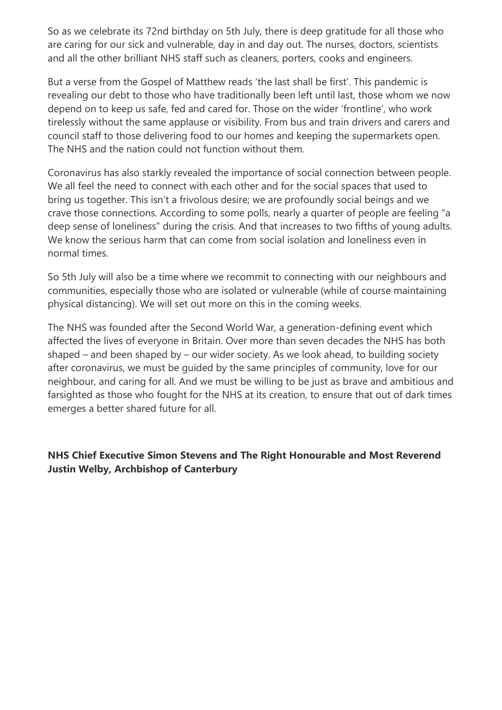So as we celebrate its 72nd birthday on 5th July, there is deep gratitude for all those who are caring for our sick and vulnerable, day in and day out. The nurses, doctors, scientists and all the other brilliant NHS staff such as cleaners, porters, cooks and engineers.

But a verse from the Gospel of Matthew reads 'the last shall be first'. This pandemic is revealing our debt to those who have traditionally been left until last, those whom we now depend on to keep us safe, fed and cared for. Those on the wider 'frontline', who work tirelessly without the same applause or visibility. From bus and train drivers and carers and council staff to those delivering food to our homes and keeping the supermarkets open. The NHS and the nation could not function without them.

Coronavirus has also starkly revealed the importance of social connection between people. We all feel the need to connect with each other and for the social spaces that used to bring us together. This isn't a frivolous desire; we are profoundly social beings and we crave those connections. According to some polls, nearly a quarter of people are feeling "a deep sense of loneliness" during the crisis. And that increases to two fifths of young adults. We know the serious harm that can come from social isolation and loneliness even in normal times.

So 5th July will also be a time where we recommit to connecting with our neighbours and communities, especially those who are isolated or vulnerable (while of course maintaining physical distancing). We will set out more on this in the coming weeks.

The NHS was founded after the Second World War, a generation-defining event which affected the lives of everyone in Britain. Over more than seven decades the NHS has both shaped – and been shaped by – our wider society. As we look ahead, to building society after coronavirus, we must be guided by the same principles of community, love for our neighbour, and caring for all. And we must be willing to be just as brave and ambitious and farsighted as those who fought for the NHS at its creation, to ensure that out of dark times emerges a better shared future for all.

# **NHS Chief Executive Simon Stevens and The Right Honourable and Most Reverend Justin Welby, Archbishop of Canterbury**